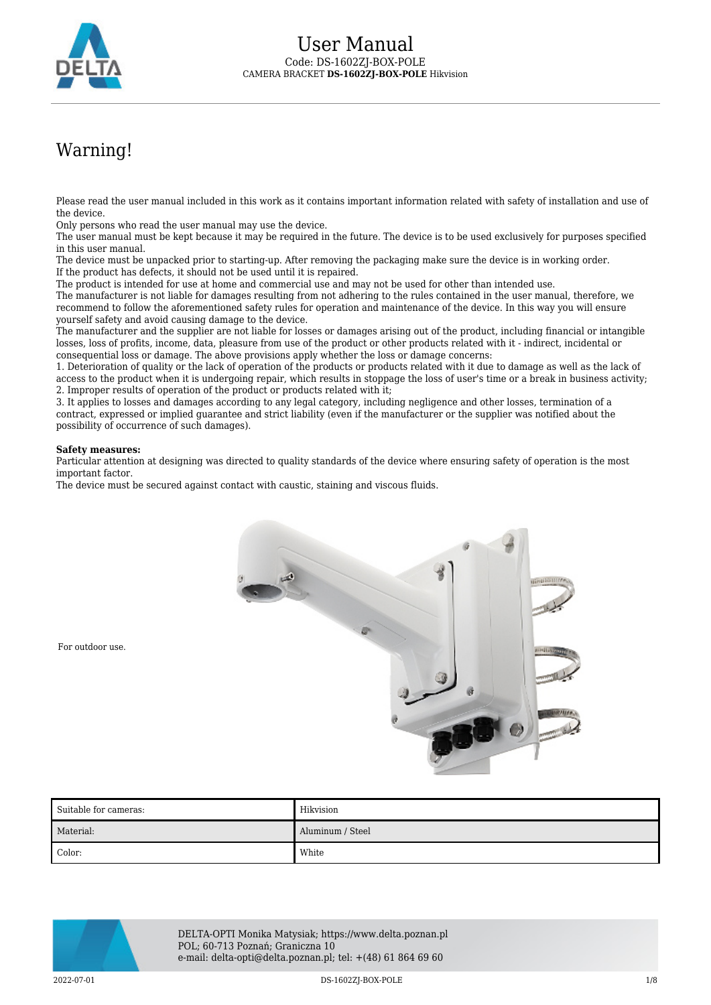

# Warning!

Please read the user manual included in this work as it contains important information related with safety of installation and use of the device.

Only persons who read the user manual may use the device.

The user manual must be kept because it may be required in the future. The device is to be used exclusively for purposes specified in this user manual.

The device must be unpacked prior to starting-up. After removing the packaging make sure the device is in working order. If the product has defects, it should not be used until it is repaired.

The product is intended for use at home and commercial use and may not be used for other than intended use.

The manufacturer is not liable for damages resulting from not adhering to the rules contained in the user manual, therefore, we recommend to follow the aforementioned safety rules for operation and maintenance of the device. In this way you will ensure yourself safety and avoid causing damage to the device.

The manufacturer and the supplier are not liable for losses or damages arising out of the product, including financial or intangible losses, loss of profits, income, data, pleasure from use of the product or other products related with it - indirect, incidental or consequential loss or damage. The above provisions apply whether the loss or damage concerns:

1. Deterioration of quality or the lack of operation of the products or products related with it due to damage as well as the lack of access to the product when it is undergoing repair, which results in stoppage the loss of user's time or a break in business activity; 2. Improper results of operation of the product or products related with it;

3. It applies to losses and damages according to any legal category, including negligence and other losses, termination of a contract, expressed or implied guarantee and strict liability (even if the manufacturer or the supplier was notified about the possibility of occurrence of such damages).

#### **Safety measures:**

Particular attention at designing was directed to quality standards of the device where ensuring safety of operation is the most important factor.

The device must be secured against contact with caustic, staining and viscous fluids.



For outdoor use.

| Suitable for cameras: | Hikvision        |
|-----------------------|------------------|
| Material:             | Aluminum / Steel |
| Color:                | White            |



DELTA-OPTI Monika Matysiak; https://www.delta.poznan.pl POL; 60-713 Poznań; Graniczna 10 e-mail: delta-opti@delta.poznan.pl; tel: +(48) 61 864 69 60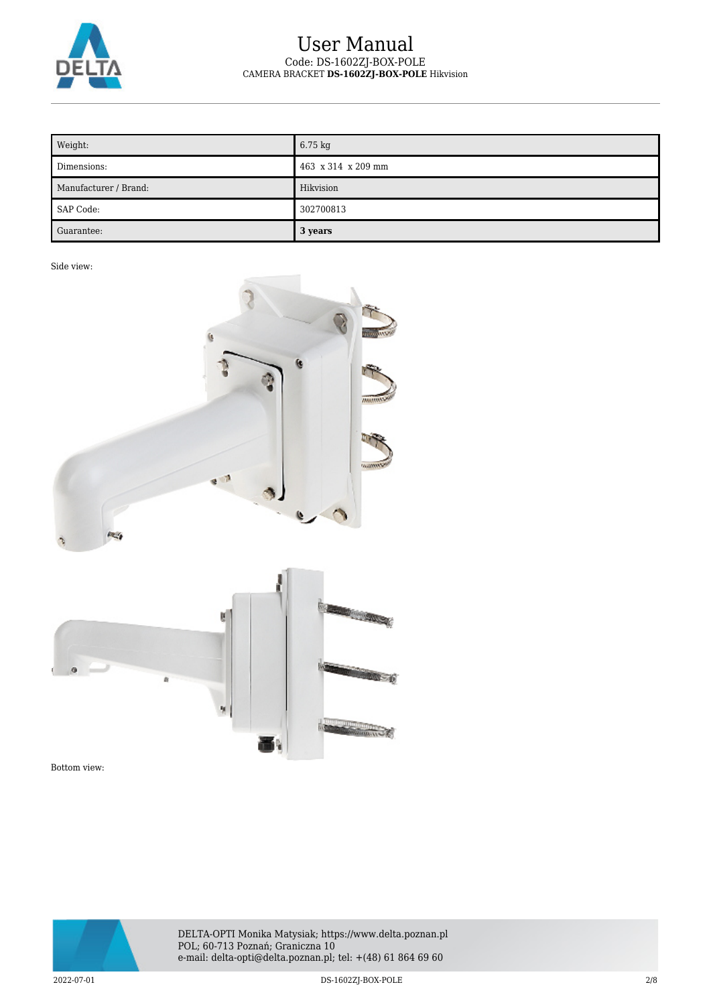

| Weight:               | $6.75 \text{ kg}$  |
|-----------------------|--------------------|
| Dimensions:           | 463 x 314 x 209 mm |
| Manufacturer / Brand: | Hikvision          |
| SAP Code:             | 302700813          |
| Guarantee:            | 3 years            |

Side view:



Bottom view:



DELTA-OPTI Monika Matysiak; https://www.delta.poznan.pl POL; 60-713 Poznań; Graniczna 10 e-mail: delta-opti@delta.poznan.pl; tel: +(48) 61 864 69 60

2022-07-01 DS-1602ZJ-BOX-POLE 2/8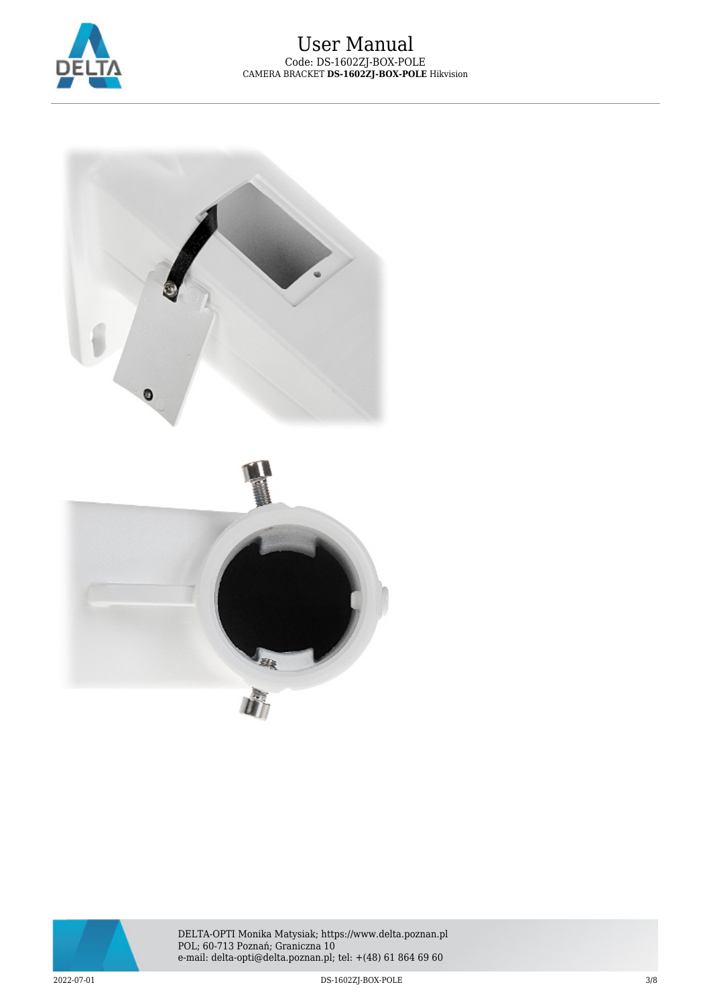





DELTA-OPTI Monika Matysiak; https://www.delta.poznan.pl POL; 60-713 Poznań; Graniczna 10 e-mail: delta-opti@delta.poznan.pl; tel: +(48) 61 864 69 60

2022-07-01 DS-1602ZJ-BOX-POLE 3/8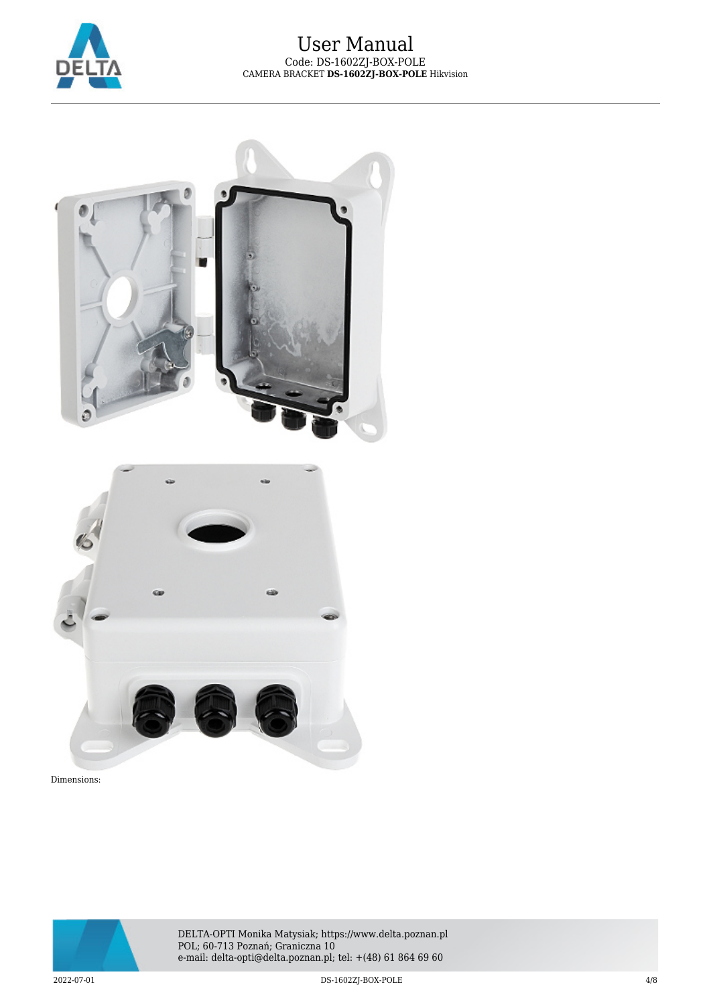



Dimensions:



DELTA-OPTI Monika Matysiak; https://www.delta.poznan.pl POL; 60-713 Poznań; Graniczna 10 e-mail: delta-opti@delta.poznan.pl; tel: +(48) 61 864 69 60

2022-07-01 DS-1602ZJ-BOX-POLE 4/8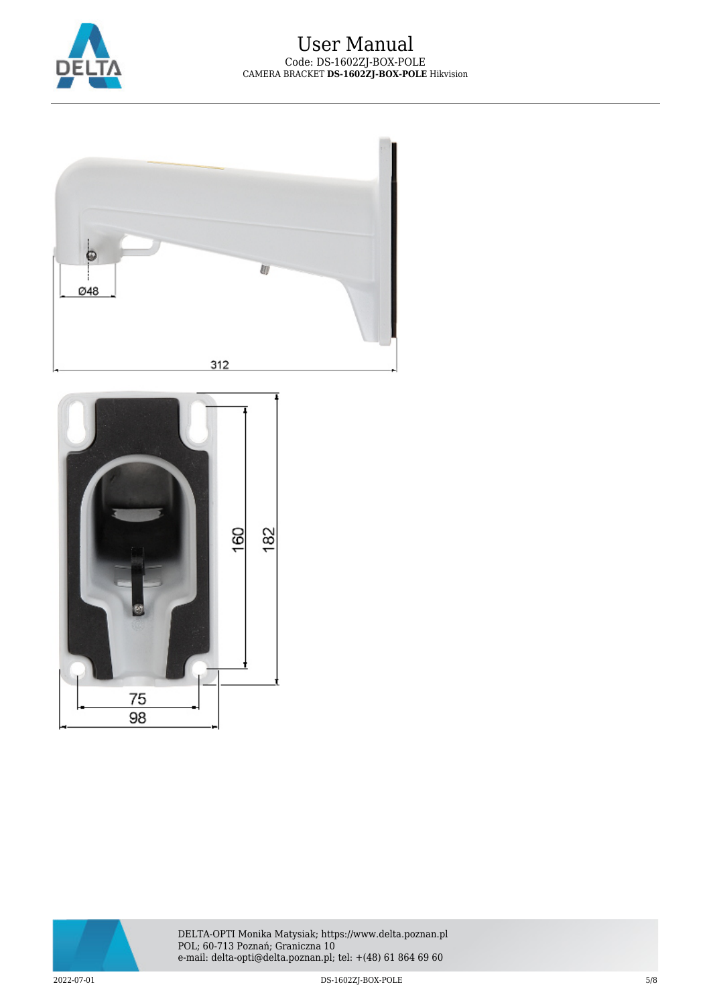





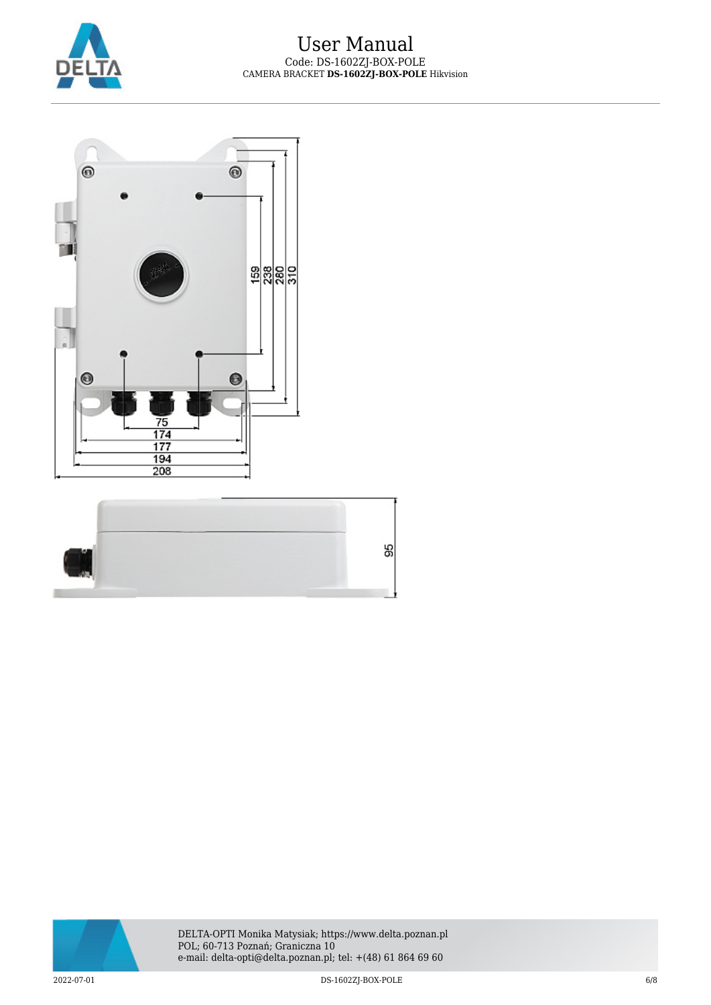





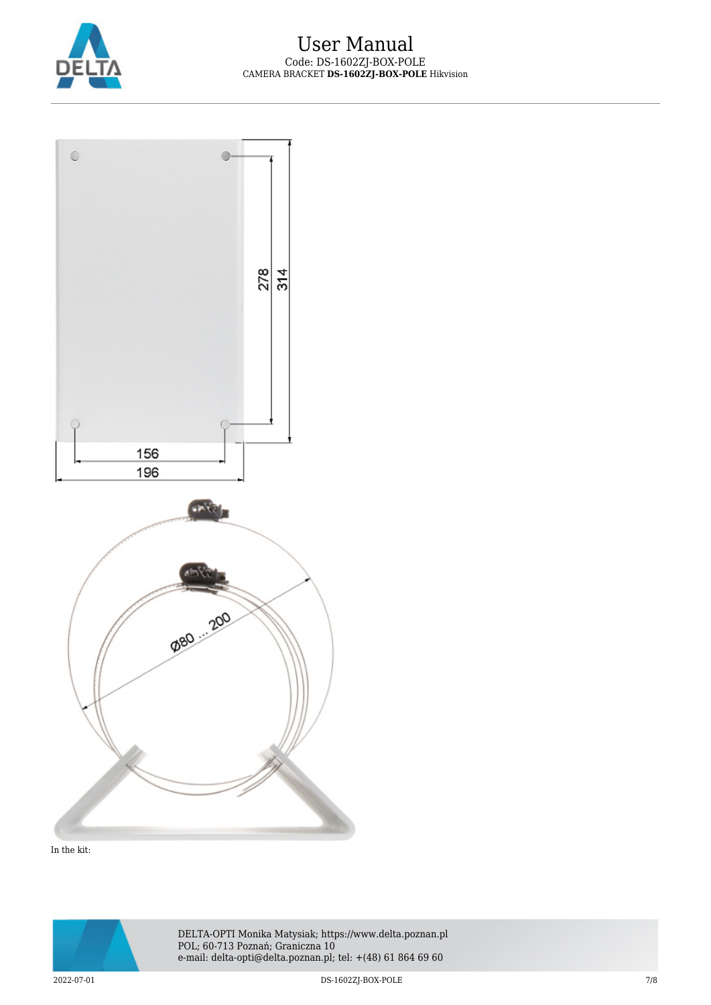



In the kit:



DELTA-OPTI Monika Matysiak; https://www.delta.poznan.pl POL; 60-713 Poznań; Graniczna 10 e-mail: delta-opti@delta.poznan.pl; tel: +(48) 61 864 69 60

2022-07-01 DS-1602ZJ-BOX-POLE 7/8